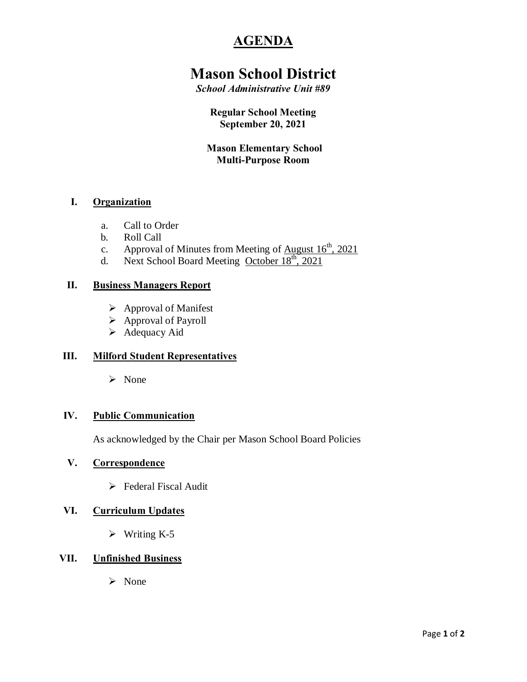# **AGENDA**

# **Mason School District**

*School Administrative Unit #89*

**Regular School Meeting September 20, 2021**

**Mason Elementary School Multi-Purpose Room**

### **I. Organization**

- a. Call to Order
- b. Roll Call
- c. Approval of Minutes from Meeting of  $\Delta$ ugust  $16^{\text{th}}$ , 2021
- d. Next School Board Meeting October  $18<sup>th</sup>$ , 2021

#### **II. Business Managers Report**

- $\triangleright$  Approval of Manifest
- $\triangleright$  Approval of Payroll
- $\blacktriangleright$  Adequacy Aid

### **III. Milford Student Representatives**

 $\triangleright$  None

#### **IV. Public Communication**

As acknowledged by the Chair per Mason School Board Policies

#### **V. Correspondence**

 $\triangleright$  Federal Fiscal Audit

### **VI. Curriculum Updates**

 $\triangleright$  Writing K-5

### **VII. Unfinished Business**

 $\triangleright$  None